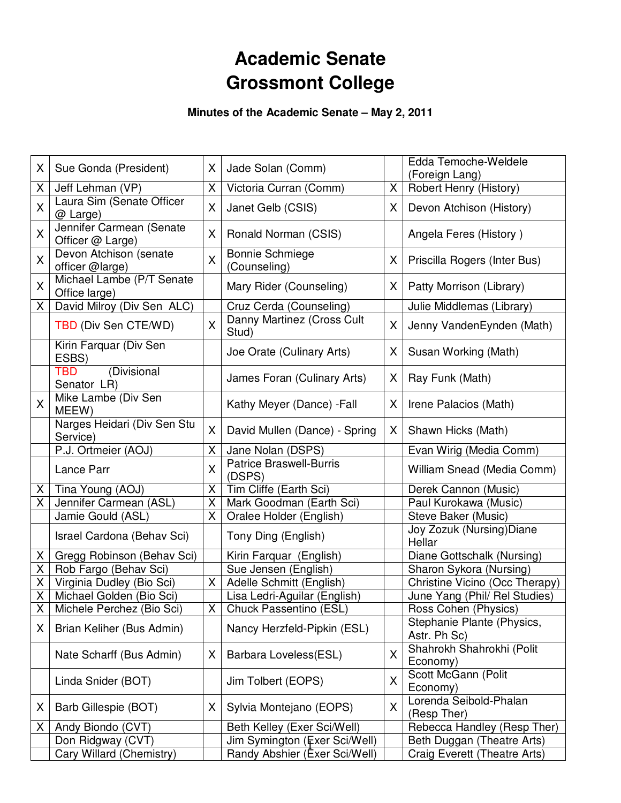# **Academic Senate Grossmont College**

**Minutes of the Academic Senate – May 2, 2011** 

| X              | Sue Gonda (President)                         | X              | Jade Solan (Comm)                        |   | Edda Temoche-Weldele<br>(Foreign Lang)     |
|----------------|-----------------------------------------------|----------------|------------------------------------------|---|--------------------------------------------|
| Χ              | Jeff Lehman (VP)                              | X              | Victoria Curran (Comm)                   | X | Robert Henry (History)                     |
| X              | Laura Sim (Senate Officer<br>@ Large)         | X              | Janet Gelb (CSIS)                        | X | Devon Atchison (History)                   |
| X              | Jennifer Carmean (Senate<br>Officer @ Large)  | X              | Ronald Norman (CSIS)                     |   | Angela Feres (History)                     |
| X              | Devon Atchison (senate<br>officer @large)     | X              | <b>Bonnie Schmiege</b><br>(Counseling)   | X | Priscilla Rogers (Inter Bus)               |
| X              | Michael Lambe (P/T Senate<br>Office large)    |                | Mary Rider (Counseling)                  | X | Patty Morrison (Library)                   |
| X              | David Milroy (Div Sen ALC)                    |                | Cruz Cerda (Counseling)                  |   | Julie Middlemas (Library)                  |
|                | TBD (Div Sen CTE/WD)                          | X              | Danny Martinez (Cross Cult<br>Stud)      | X | Jenny VandenEynden (Math)                  |
|                | Kirin Farquar (Div Sen<br>ESBS)               |                | Joe Orate (Culinary Arts)                | X | Susan Working (Math)                       |
|                | (Divisional<br>TBD<br>Senator LR)             |                | James Foran (Culinary Arts)              | X | Ray Funk (Math)                            |
| X              | Mike Lambe (Div Sen<br>MEEW)                  |                | Kathy Meyer (Dance) - Fall               | X | Irene Palacios (Math)                      |
|                | Narges Heidari (Div Sen Stu<br>Service)       | X              | David Mullen (Dance) - Spring            | X | Shawn Hicks (Math)                         |
|                | P.J. Ortmeier (AOJ)                           | X              | Jane Nolan (DSPS)                        |   | Evan Wirig (Media Comm)                    |
|                | Lance Parr                                    | X              | <b>Patrice Braswell-Burris</b><br>(DSPS) |   | William Snead (Media Comm)                 |
| Χ              | Tina Young (AOJ)                              | X              | Tim Cliffe (Earth Sci)                   |   | Derek Cannon (Music)                       |
| Χ              | Jennifer Carmean (ASL)                        | X              | Mark Goodman (Earth Sci)                 |   | Paul Kurokawa (Music)                      |
|                | Jamie Gould (ASL)                             | X              | Oralee Holder (English)                  |   | Steve Baker (Music)                        |
|                | Israel Cardona (Behav Sci)                    |                | Tony Ding (English)                      |   | Joy Zozuk (Nursing) Diane<br>Hellar        |
| X.             | Gregg Robinson (Behav Sci)                    |                | Kirin Farquar (English)                  |   | Diane Gottschalk (Nursing)                 |
| Χ              | Rob Fargo (Behav Sci)                         |                | Sue Jensen (English)                     |   | Sharon Sykora (Nursing)                    |
| X              | Virginia Dudley (Bio Sci)                     | X              | Adelle Schmitt (English)                 |   | Christine Vicino (Occ Therapy)             |
| Χ              | Michael Golden (Bio Sci)                      |                | Lisa Ledri-Aguilar (English)             |   | June Yang (Phil/ Rel Studies)              |
| $\overline{X}$ | Michele Perchez (Bio Sci)                     | $\overline{X}$ | Chuck Passentino (ESL)                   |   | Ross Cohen (Physics)                       |
| X              | Brian Keliher (Bus Admin)                     |                | Nancy Herzfeld-Pipkin (ESL)              |   | Stephanie Plante (Physics,<br>Astr. Ph Sc) |
|                | Nate Scharff (Bus Admin)                      | X              | Barbara Loveless(ESL)                    | Χ | Shahrokh Shahrokhi (Polit<br>Economy)      |
|                | Linda Snider (BOT)                            |                | Jim Tolbert (EOPS)                       | X | Scott McGann (Polit<br>Economy)            |
| X              | Barb Gillespie (BOT)                          | X              | Sylvia Montejano (EOPS)                  | X | Lorenda Seibold-Phalan<br>(Resp Ther)      |
| X              | Andy Biondo (CVT)                             |                | Beth Kelley (Exer Sci/Well)              |   | Rebecca Handley (Resp Ther)                |
|                |                                               |                | Jim Symington (Exer Sci/Well)            |   | Beth Duggan (Theatre Arts)                 |
|                | Don Ridgway (CVT)<br>Cary Willard (Chemistry) |                | Randy Abshier (Exer Sci/Well)            |   | Craig Everett (Theatre Arts)               |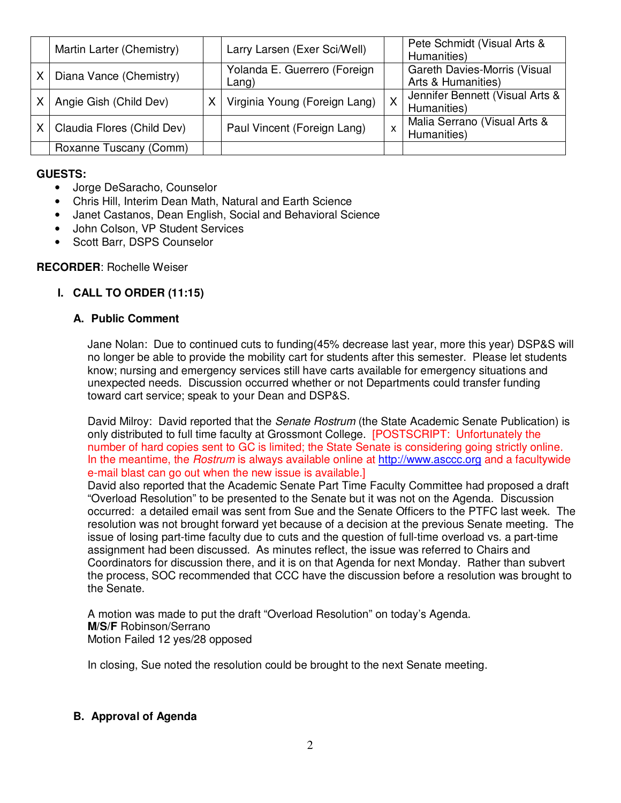| Martin Larter (Chemistry)  | Larry Larsen (Exer Sci/Well)          |   | Pete Schmidt (Visual Arts &<br>Humanities)         |
|----------------------------|---------------------------------------|---|----------------------------------------------------|
| Diana Vance (Chemistry)    | Yolanda E. Guerrero (Foreign<br>Lang) |   | Gareth Davies-Morris (Visual<br>Arts & Humanities) |
| Angie Gish (Child Dev)     | Virginia Young (Foreign Lang)         | X | Jennifer Bennett (Visual Arts &<br>Humanities)     |
| Claudia Flores (Child Dev) | Paul Vincent (Foreign Lang)           |   | Malia Serrano (Visual Arts &<br>Humanities)        |
| Roxanne Tuscany (Comm)     |                                       |   |                                                    |

# **GUESTS:**

- Jorge DeSaracho, Counselor
- Chris Hill, Interim Dean Math, Natural and Earth Science
- Janet Castanos, Dean English, Social and Behavioral Science
- John Colson, VP Student Services
- Scott Barr, DSPS Counselor

# **RECORDER**: Rochelle Weiser

# **I. CALL TO ORDER (11:15)**

# **A. Public Comment**

Jane Nolan: Due to continued cuts to funding(45% decrease last year, more this year) DSP&S will no longer be able to provide the mobility cart for students after this semester. Please let students know; nursing and emergency services still have carts available for emergency situations and unexpected needs. Discussion occurred whether or not Departments could transfer funding toward cart service; speak to your Dean and DSP&S.

David Milroy: David reported that the *Senate Rostrum* (the State Academic Senate Publication) is only distributed to full time faculty at Grossmont College. [POSTSCRIPT: Unfortunately the number of hard copies sent to GC is limited; the State Senate is considering going strictly online. In the meantime, the Rostrum is always available online at http://www.asccc.org and a facultywide e-mail blast can go out when the new issue is available.]

David also reported that the Academic Senate Part Time Faculty Committee had proposed a draft "Overload Resolution" to be presented to the Senate but it was not on the Agenda. Discussion occurred: a detailed email was sent from Sue and the Senate Officers to the PTFC last week. The resolution was not brought forward yet because of a decision at the previous Senate meeting. The issue of losing part-time faculty due to cuts and the question of full-time overload vs. a part-time assignment had been discussed. As minutes reflect, the issue was referred to Chairs and Coordinators for discussion there, and it is on that Agenda for next Monday. Rather than subvert the process, SOC recommended that CCC have the discussion before a resolution was brought to the Senate.

A motion was made to put the draft "Overload Resolution" on today's Agenda. **M/S/F** Robinson/Serrano Motion Failed 12 yes/28 opposed

In closing, Sue noted the resolution could be brought to the next Senate meeting.

# **B. Approval of Agenda**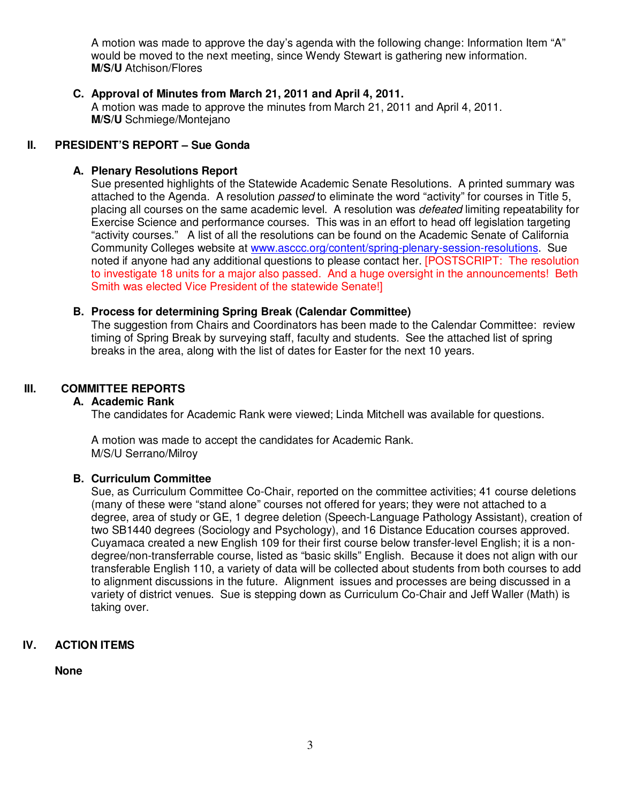A motion was made to approve the day's agenda with the following change: Information Item "A" would be moved to the next meeting, since Wendy Stewart is gathering new information. **M/S/U** Atchison/Flores

#### **C. Approval of Minutes from March 21, 2011 and April 4, 2011.**

A motion was made to approve the minutes from March 21, 2011 and April 4, 2011. **M/S/U** Schmiege/Montejano

# **II. PRESIDENT'S REPORT – Sue Gonda**

#### **A. Plenary Resolutions Report**

Sue presented highlights of the Statewide Academic Senate Resolutions. A printed summary was attached to the Agenda. A resolution passed to eliminate the word "activity" for courses in Title 5, placing all courses on the same academic level. A resolution was *defeated* limiting repeatability for Exercise Science and performance courses. This was in an effort to head off legislation targeting "activity courses." A list of all the resolutions can be found on the Academic Senate of California Community Colleges website at www.asccc.org/content/spring-plenary-session-resolutions. Sue noted if anyone had any additional questions to please contact her. [POSTSCRIPT: The resolution to investigate 18 units for a major also passed. And a huge oversight in the announcements! Beth Smith was elected Vice President of the statewide Senate!]

#### **B. Process for determining Spring Break (Calendar Committee)**

The suggestion from Chairs and Coordinators has been made to the Calendar Committee: review timing of Spring Break by surveying staff, faculty and students. See the attached list of spring breaks in the area, along with the list of dates for Easter for the next 10 years.

# **III. COMMITTEE REPORTS**

#### **A. Academic Rank**

The candidates for Academic Rank were viewed; Linda Mitchell was available for questions.

A motion was made to accept the candidates for Academic Rank. M/S/U Serrano/Milroy

# **B. Curriculum Committee**

Sue, as Curriculum Committee Co-Chair, reported on the committee activities; 41 course deletions (many of these were "stand alone" courses not offered for years; they were not attached to a degree, area of study or GE, 1 degree deletion (Speech-Language Pathology Assistant), creation of two SB1440 degrees (Sociology and Psychology), and 16 Distance Education courses approved. Cuyamaca created a new English 109 for their first course below transfer-level English; it is a nondegree/non-transferrable course, listed as "basic skills" English. Because it does not align with our transferable English 110, a variety of data will be collected about students from both courses to add to alignment discussions in the future. Alignment issues and processes are being discussed in a variety of district venues. Sue is stepping down as Curriculum Co-Chair and Jeff Waller (Math) is taking over.

# **IV. ACTION ITEMS**

**None**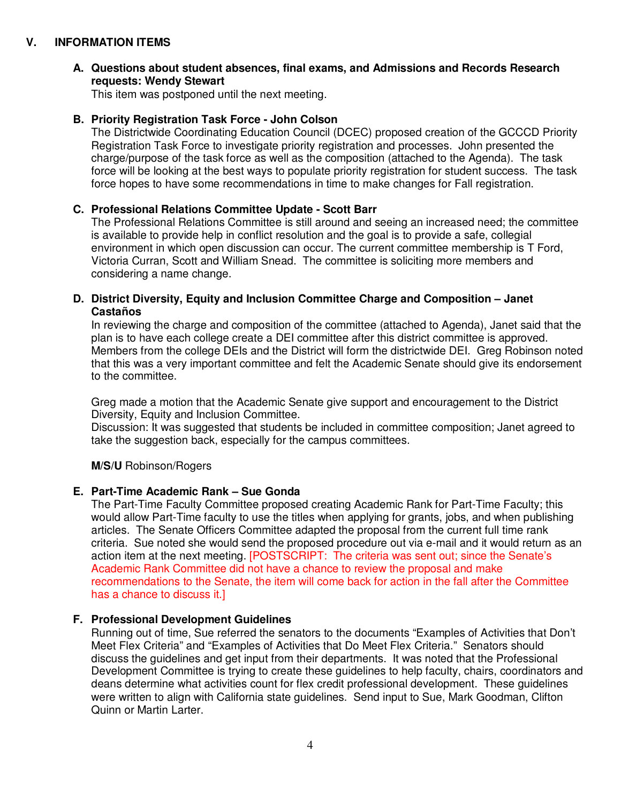# **V. INFORMATION ITEMS**

## **A. Questions about student absences, final exams, and Admissions and Records Research requests: Wendy Stewart**

This item was postponed until the next meeting.

#### **B. Priority Registration Task Force - John Colson**

The Districtwide Coordinating Education Council (DCEC) proposed creation of the GCCCD Priority Registration Task Force to investigate priority registration and processes. John presented the charge/purpose of the task force as well as the composition (attached to the Agenda). The task force will be looking at the best ways to populate priority registration for student success. The task force hopes to have some recommendations in time to make changes for Fall registration.

# **C. Professional Relations Committee Update - Scott Barr**

The Professional Relations Committee is still around and seeing an increased need; the committee is available to provide help in conflict resolution and the goal is to provide a safe, collegial environment in which open discussion can occur. The current committee membership is T Ford, Victoria Curran, Scott and William Snead. The committee is soliciting more members and considering a name change.

#### **D. District Diversity, Equity and Inclusion Committee Charge and Composition – Janet Castaños**

In reviewing the charge and composition of the committee (attached to Agenda), Janet said that the plan is to have each college create a DEI committee after this district committee is approved. Members from the college DEIs and the District will form the districtwide DEI. Greg Robinson noted that this was a very important committee and felt the Academic Senate should give its endorsement to the committee.

Greg made a motion that the Academic Senate give support and encouragement to the District Diversity, Equity and Inclusion Committee.

Discussion: It was suggested that students be included in committee composition; Janet agreed to take the suggestion back, especially for the campus committees.

#### **M/S/U** Robinson/Rogers

#### **E. Part-Time Academic Rank – Sue Gonda**

The Part-Time Faculty Committee proposed creating Academic Rank for Part-Time Faculty; this would allow Part-Time faculty to use the titles when applying for grants, jobs, and when publishing articles. The Senate Officers Committee adapted the proposal from the current full time rank criteria. Sue noted she would send the proposed procedure out via e-mail and it would return as an action item at the next meeting. [POSTSCRIPT: The criteria was sent out; since the Senate's Academic Rank Committee did not have a chance to review the proposal and make recommendations to the Senate, the item will come back for action in the fall after the Committee has a chance to discuss it.]

#### **F. Professional Development Guidelines**

Running out of time, Sue referred the senators to the documents "Examples of Activities that Don't Meet Flex Criteria" and "Examples of Activities that Do Meet Flex Criteria." Senators should discuss the guidelines and get input from their departments. It was noted that the Professional Development Committee is trying to create these guidelines to help faculty, chairs, coordinators and deans determine what activities count for flex credit professional development. These guidelines were written to align with California state guidelines. Send input to Sue, Mark Goodman, Clifton Quinn or Martin Larter.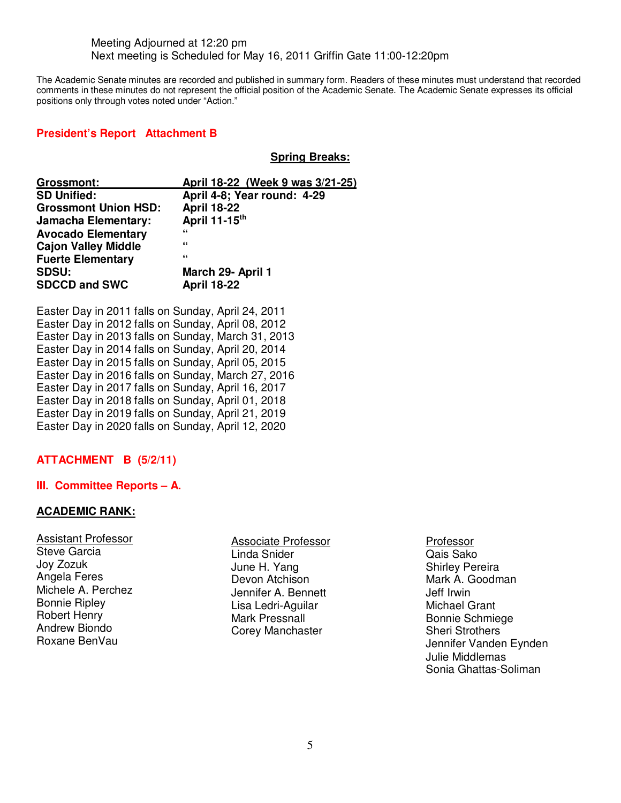#### Meeting Adjourned at 12:20 pm Next meeting is Scheduled for May 16, 2011 Griffin Gate 11:00-12:20pm

The Academic Senate minutes are recorded and published in summary form. Readers of these minutes must understand that recorded comments in these minutes do not represent the official position of the Academic Senate. The Academic Senate expresses its official positions only through votes noted under "Action."

## **President's Report Attachment B**

**Spring Breaks:**

| <b>Grossmont:</b>           | April 18-22 (Week 9 was 3/21-25) |  |  |  |  |
|-----------------------------|----------------------------------|--|--|--|--|
| <b>SD Unified:</b>          | April 4-8; Year round: 4-29      |  |  |  |  |
| <b>Grossmont Union HSD:</b> | <b>April 18-22</b>               |  |  |  |  |
| <b>Jamacha Elementary:</b>  | April 11-15th                    |  |  |  |  |
| <b>Avocado Elementary</b>   | "                                |  |  |  |  |
| <b>Cajon Valley Middle</b>  | "                                |  |  |  |  |
| <b>Fuerte Elementary</b>    | "                                |  |  |  |  |
| <b>SDSU:</b>                | March 29- April 1                |  |  |  |  |
| <b>SDCCD and SWC</b>        | <b>April 18-22</b>               |  |  |  |  |

Easter Day in 2011 falls on Sunday, April 24, 2011 Easter Day in 2012 falls on Sunday, April 08, 2012 Easter Day in 2013 falls on Sunday, March 31, 2013 Easter Day in 2014 falls on Sunday, April 20, 2014 Easter Day in 2015 falls on Sunday, April 05, 2015 Easter Day in 2016 falls on Sunday, March 27, 2016 Easter Day in 2017 falls on Sunday, April 16, 2017 Easter Day in 2018 falls on Sunday, April 01, 2018 Easter Day in 2019 falls on Sunday, April 21, 2019 Easter Day in 2020 falls on Sunday, April 12, 2020

# **ATTACHMENT B (5/2/11)**

# **III. Committee Reports – A.**

#### **ACADEMIC RANK:**

| <b>Assistant Professor</b> |
|----------------------------|
| <b>Steve Garcia</b>        |
| Joy Zozuk                  |
| Angela Feres               |
| Michele A. Perchez         |
| <b>Bonnie Ripley</b>       |
| <b>Robert Henry</b>        |
| <b>Andrew Biondo</b>       |
| Roxane BenVau              |
|                            |

Associate Professor Linda Snider June H. Yang Devon Atchison Jennifer A. Bennett Lisa Ledri-Aguilar Mark Pressnall Corey Manchaster

Professor

Qais Sako Shirley Pereira Mark A. Goodman Jeff Irwin Michael Grant Bonnie Schmiege Sheri Strothers Jennifer Vanden Eynden Julie Middlemas Sonia Ghattas-Soliman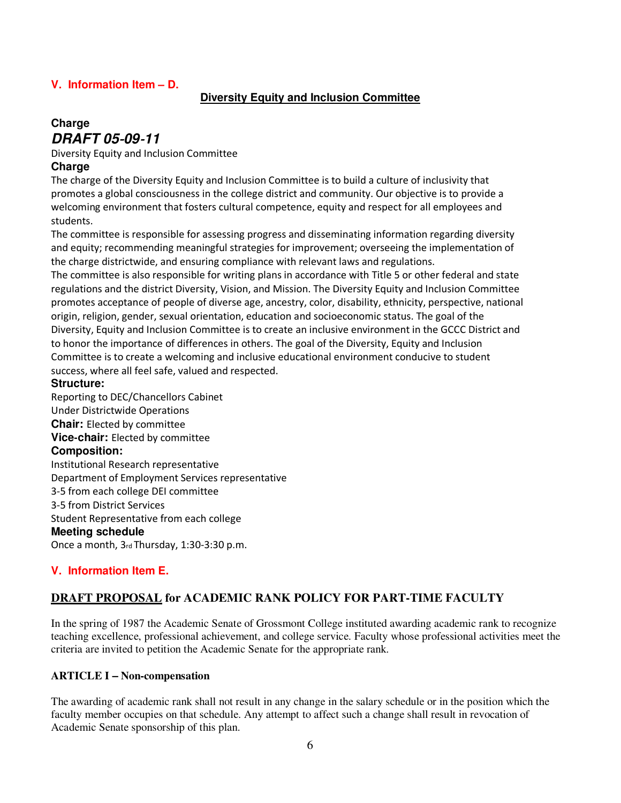# **V. Information Item – D.**

# **Diversity Equity and Inclusion Committee**

# **Charge DRAFT 05**‐**09**‐**11**

Diversity Equity and Inclusion Committee

# **Charge**

The charge of the Diversity Equity and Inclusion Committee is to build a culture of inclusivity that promotes a global consciousness in the college district and community. Our objective is to provide a welcoming environment that fosters cultural competence, equity and respect for all employees and students.

The committee is responsible for assessing progress and disseminating information regarding diversity and equity; recommending meaningful strategies for improvement; overseeing the implementation of the charge districtwide, and ensuring compliance with relevant laws and regulations.

The committee is also responsible for writing plans in accordance with Title 5 or other federal and state regulations and the district Diversity, Vision, and Mission. The Diversity Equity and Inclusion Committee promotes acceptance of people of diverse age, ancestry, color, disability, ethnicity, perspective, national origin, religion, gender, sexual orientation, education and socioeconomic status. The goal of the Diversity, Equity and Inclusion Committee is to create an inclusive environment in the GCCC District and to honor the importance of differences in others. The goal of the Diversity, Equity and Inclusion Committee is to create a welcoming and inclusive educational environment conducive to student success, where all feel safe, valued and respected.

#### **Structure:**

Reporting to DEC/Chancellors Cabinet Under Districtwide Operations **Chair:** Elected by committee **Vice**‐**chair:** Elected by committee **Composition:**  Institutional Research representative Department of Employment Services representative 3‐5 from each college DEI committee 3‐5 from District Services Student Representative from each college **Meeting schedule**  Once a month, 3rd Thursday, 1:30‐3:30 p.m.

# **V. Information Item E.**

# **DRAFT PROPOSAL for ACADEMIC RANK POLICY FOR PART-TIME FACULTY**

In the spring of 1987 the Academic Senate of Grossmont College instituted awarding academic rank to recognize teaching excellence, professional achievement, and college service. Faculty whose professional activities meet the criteria are invited to petition the Academic Senate for the appropriate rank.

#### **ARTICLE I – Non-compensation**

The awarding of academic rank shall not result in any change in the salary schedule or in the position which the faculty member occupies on that schedule. Any attempt to affect such a change shall result in revocation of Academic Senate sponsorship of this plan.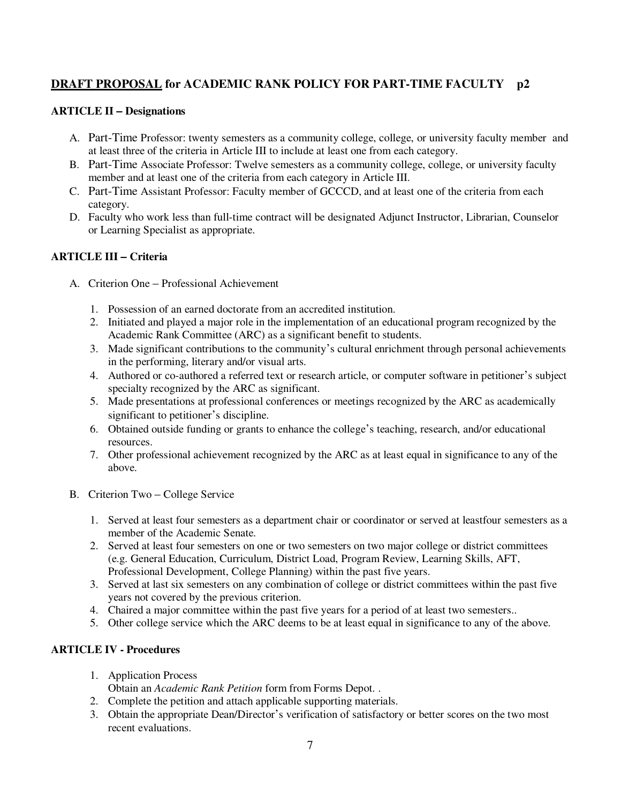# **DRAFT PROPOSAL for ACADEMIC RANK POLICY FOR PART-TIME FACULTY p2**

#### **ARTICLE II – Designations**

- A. Part-Time Professor: twenty semesters as a community college, college, or university faculty member and at least three of the criteria in Article III to include at least one from each category.
- B. Part-Time Associate Professor: Twelve semesters as a community college, college, or university faculty member and at least one of the criteria from each category in Article III.
- C. Part-Time Assistant Professor: Faculty member of GCCCD, and at least one of the criteria from each category.
- D. Faculty who work less than full-time contract will be designated Adjunct Instructor, Librarian, Counselor or Learning Specialist as appropriate.

# **ARTICLE III – Criteria**

- A. Criterion One Professional Achievement
	- 1. Possession of an earned doctorate from an accredited institution.
	- 2. Initiated and played a major role in the implementation of an educational program recognized by the Academic Rank Committee (ARC) as a significant benefit to students.
	- 3. Made significant contributions to the community's cultural enrichment through personal achievements in the performing, literary and/or visual arts.
	- 4. Authored or co-authored a referred text or research article, or computer software in petitioner's subject specialty recognized by the ARC as significant.
	- 5. Made presentations at professional conferences or meetings recognized by the ARC as academically significant to petitioner's discipline.
	- 6. Obtained outside funding or grants to enhance the college's teaching, research, and/or educational resources.
	- 7. Other professional achievement recognized by the ARC as at least equal in significance to any of the above.
- B. Criterion Two College Service
	- 1. Served at least four semesters as a department chair or coordinator or served at leastfour semesters as a member of the Academic Senate.
	- 2. Served at least four semesters on one or two semesters on two major college or district committees (e.g. General Education, Curriculum, District Load, Program Review, Learning Skills, AFT, Professional Development, College Planning) within the past five years.
	- 3. Served at last six semesters on any combination of college or district committees within the past five years not covered by the previous criterion.
	- 4. Chaired a major committee within the past five years for a period of at least two semesters..
	- 5. Other college service which the ARC deems to be at least equal in significance to any of the above.

# **ARTICLE IV - Procedures**

1. Application Process

Obtain an *Academic Rank Petition* form from Forms Depot. .

- 2. Complete the petition and attach applicable supporting materials.
- 3. Obtain the appropriate Dean/Director's verification of satisfactory or better scores on the two most recent evaluations.